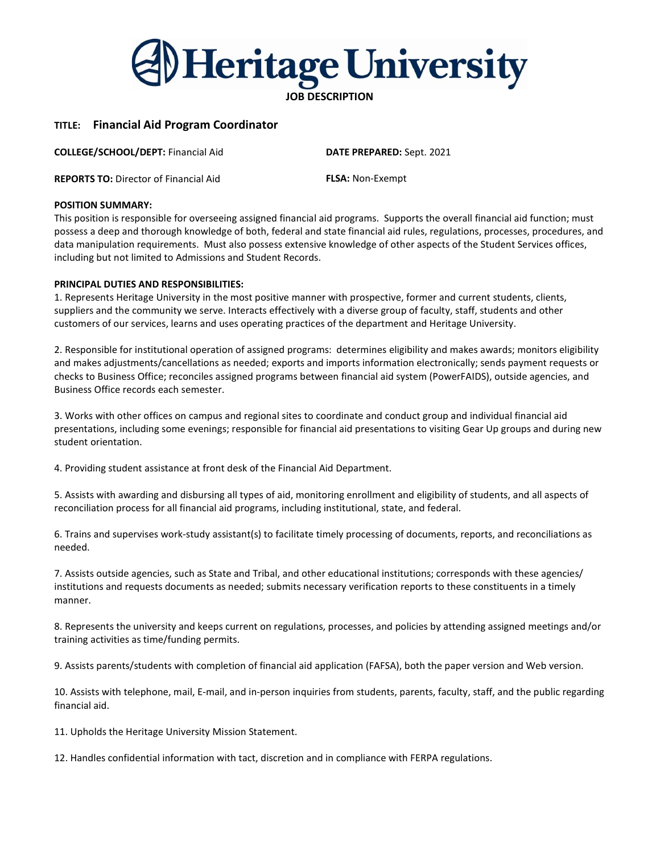

# TITLE: Financial Aid Program Coordinator

COLLEGE/SCHOOL/DEPT: Financial Aid

REPORTS TO: Director of Financial Aid

DATE PREPARED: Sept. 2021

# FLSA: Non-Exempt

### POSITION SUMMARY:

This position is responsible for overseeing assigned financial aid programs. Supports the overall financial aid function; must possess a deep and thorough knowledge of both, federal and state financial aid rules, regulations, processes, procedures, and data manipulation requirements. Must also possess extensive knowledge of other aspects of the Student Services offices, including but not limited to Admissions and Student Records.

## PRINCIPAL DUTIES AND RESPONSIBILITIES:

1. Represents Heritage University in the most positive manner with prospective, former and current students, clients, suppliers and the community we serve. Interacts effectively with a diverse group of faculty, staff, students and other customers of our services, learns and uses operating practices of the department and Heritage University.

2. Responsible for institutional operation of assigned programs: determines eligibility and makes awards; monitors eligibility and makes adjustments/cancellations as needed; exports and imports information electronically; sends payment requests or checks to Business Office; reconciles assigned programs between financial aid system (PowerFAIDS), outside agencies, and Business Office records each semester.

3. Works with other offices on campus and regional sites to coordinate and conduct group and individual financial aid presentations, including some evenings; responsible for financial aid presentations to visiting Gear Up groups and during new student orientation.

4. Providing student assistance at front desk of the Financial Aid Department.

5. Assists with awarding and disbursing all types of aid, monitoring enrollment and eligibility of students, and all aspects of reconciliation process for all financial aid programs, including institutional, state, and federal.

6. Trains and supervises work-study assistant(s) to facilitate timely processing of documents, reports, and reconciliations as needed.

7. Assists outside agencies, such as State and Tribal, and other educational institutions; corresponds with these agencies/ institutions and requests documents as needed; submits necessary verification reports to these constituents in a timely manner.

8. Represents the university and keeps current on regulations, processes, and policies by attending assigned meetings and/or training activities as time/funding permits.

9. Assists parents/students with completion of financial aid application (FAFSA), both the paper version and Web version.

10. Assists with telephone, mail, E-mail, and in-person inquiries from students, parents, faculty, staff, and the public regarding financial aid.

11. Upholds the Heritage University Mission Statement.

12. Handles confidential information with tact, discretion and in compliance with FERPA regulations.